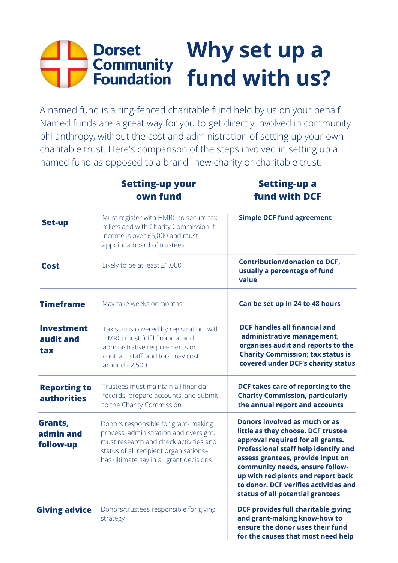## **Why set up a fund with us?**

A named fund is a ring-fenced charitable fund held by us on your behalf. Named funds are a great way for you to get directly involved in community philanthropy, without the cost and administration of setting up your own charitable trust. Here's comparison of the steps involved in setting up a named fund as opposed to a brand- new charity or charitable trust.

|                                           | <b>Setting-up your</b><br>own fund                                                                                                                                                                           | <b>Setting-up a</b><br><b>fund with DCF</b>                                                                                                                                                                                                                                                                                                        |
|-------------------------------------------|--------------------------------------------------------------------------------------------------------------------------------------------------------------------------------------------------------------|----------------------------------------------------------------------------------------------------------------------------------------------------------------------------------------------------------------------------------------------------------------------------------------------------------------------------------------------------|
| <b>Set-up</b>                             | Must register with HMRC to secure tax<br>reliefs and with Charity Commission if<br>income is over £5,000 and must<br>appoint a board of trustees                                                             | <b>Simple DCF fund agreement</b>                                                                                                                                                                                                                                                                                                                   |
| <b>Cost</b>                               | Likely to be at least £1,000                                                                                                                                                                                 | <b>Contribution/donation to DCF,</b><br>usually a percentage of fund<br>value                                                                                                                                                                                                                                                                      |
| <b>Timeframe</b>                          | May take weeks or months                                                                                                                                                                                     | Can be set up in 24 to 48 hours                                                                                                                                                                                                                                                                                                                    |
| <b>Investment</b><br>audit and<br>tax     | Tax status covered by registration with<br>HMRC; must fulfil financial and<br>administrative requirements or<br>contract staff; auditors may cost<br>around £2,500                                           | <b>DCF handles all financial and</b><br>administrative management,<br>organises audit and reports to the<br><b>Charity Commission; tax status is</b><br>covered under DCF's charity status                                                                                                                                                         |
| <b>Reporting to</b><br><b>authorities</b> | Trustees must maintain all financial<br>records, prepare accounts, and submit<br>to the Charity Commission                                                                                                   | DCF takes care of reporting to the<br><b>Charity Commission, particularly</b><br>the annual report and accounts                                                                                                                                                                                                                                    |
| Grants,<br>admin and<br>follow-up         | Donors responsible for grant-making<br>process, administration and oversight;<br>must research and check activities and<br>status of all recipient organisations-<br>has ultimate say in all grant decisions | Donors involved as much or as<br>little as they choose. DCF trustee<br>approval required for all grants.<br><b>Professional staff help identify and</b><br>assess grantees, provide input on<br>community needs, ensure follow-<br>up with recipients and report back<br>to donor. DCF verifies activities and<br>status of all potential grantees |
| <b>Giving advice</b>                      | Donors/trustees responsible for giving<br>strategy                                                                                                                                                           | <b>DCF provides full charitable giving</b><br>and grant-making know-how to<br>ensure the donor uses their fund<br>for the causes that most need help                                                                                                                                                                                               |